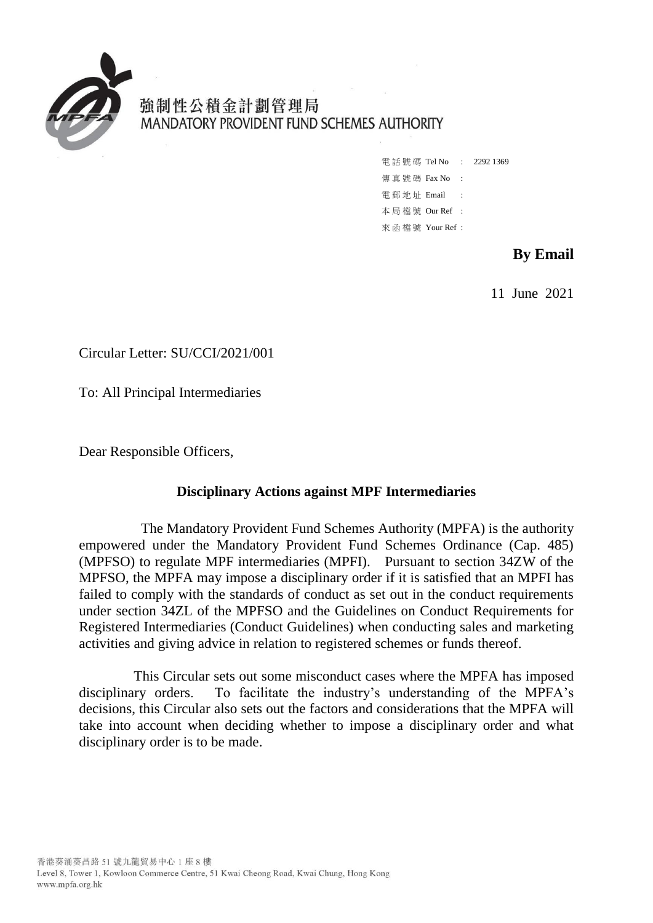

強制性公積金計劃管理局 MANDATORY PROVIDENT FUND SCHEMES AUTHORITY

> 電話號碼 Tel No : 2292 1369 傳 真 號 碼 Fax No : 雷 郵 地 址 Email : 本 局 檔 號 Our Ref : 來 函 檔 號 Your Ref :

# **By Email**

11 June 2021

Circular Letter: SU/CCI/2021/001

To: All Principal Intermediaries

Dear Responsible Officers,

#### **Disciplinary Actions against MPF Intermediaries**

The Mandatory Provident Fund Schemes Authority (MPFA) is the authority empowered under the Mandatory Provident Fund Schemes Ordinance (Cap. 485) (MPFSO) to regulate MPF intermediaries (MPFI). Pursuant to section 34ZW of the MPFSO, the MPFA may impose a disciplinary order if it is satisfied that an MPFI has failed to comply with the standards of conduct as set out in the conduct requirements under section 34ZL of the MPFSO and the Guidelines on Conduct Requirements for Registered Intermediaries (Conduct Guidelines) when conducting sales and marketing activities and giving advice in relation to registered schemes or funds thereof.

This Circular sets out some misconduct cases where the MPFA has imposed disciplinary orders. To facilitate the industry's understanding of the MPFA's decisions, this Circular also sets out the factors and considerations that the MPFA will take into account when deciding whether to impose a disciplinary order and what disciplinary order is to be made.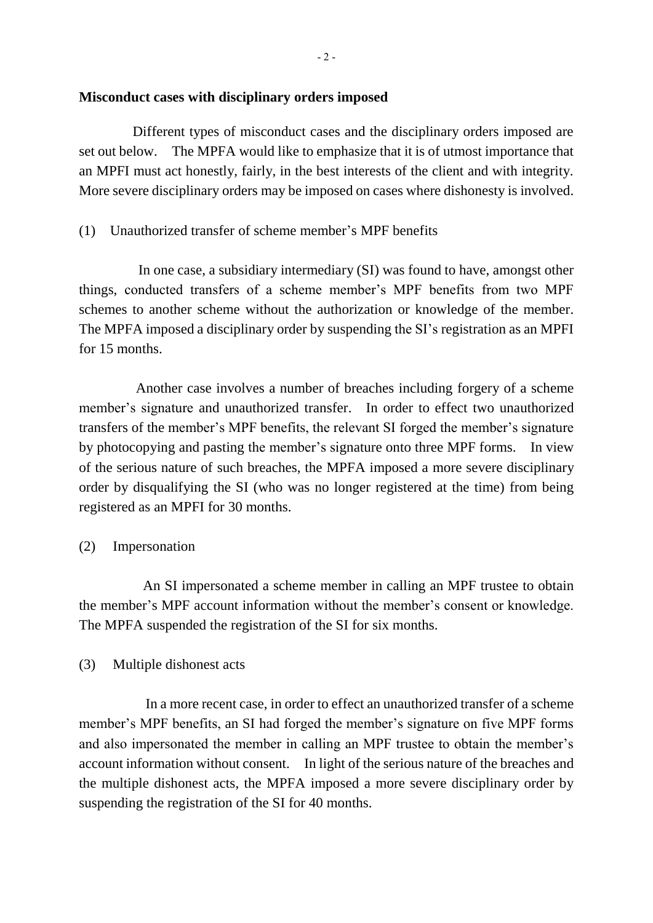#### **Misconduct cases with disciplinary orders imposed**

 Different types of misconduct cases and the disciplinary orders imposed are set out below. The MPFA would like to emphasize that it is of utmost importance that an MPFI must act honestly, fairly, in the best interests of the client and with integrity. More severe disciplinary orders may be imposed on cases where dishonesty is involved.

## (1) Unauthorized transfer of scheme member's MPF benefits

 In one case, a subsidiary intermediary (SI) was found to have, amongst other things, conducted transfers of a scheme member's MPF benefits from two MPF schemes to another scheme without the authorization or knowledge of the member. The MPFA imposed a disciplinary order by suspending the SI's registration as an MPFI for 15 months.

Another case involves a number of breaches including forgery of a scheme member's signature and unauthorized transfer. In order to effect two unauthorized transfers of the member's MPF benefits, the relevant SI forged the member's signature by photocopying and pasting the member's signature onto three MPF forms. In view of the serious nature of such breaches, the MPFA imposed a more severe disciplinary order by disqualifying the SI (who was no longer registered at the time) from being registered as an MPFI for 30 months.

## (2) Impersonation

 An SI impersonated a scheme member in calling an MPF trustee to obtain the member's MPF account information without the member's consent or knowledge. The MPFA suspended the registration of the SI for six months.

## (3) Multiple dishonest acts

In a more recent case, in order to effect an unauthorized transfer of a scheme member's MPF benefits, an SI had forged the member's signature on five MPF forms and also impersonated the member in calling an MPF trustee to obtain the member's account information without consent. In light of the serious nature of the breaches and the multiple dishonest acts, the MPFA imposed a more severe disciplinary order by suspending the registration of the SI for 40 months.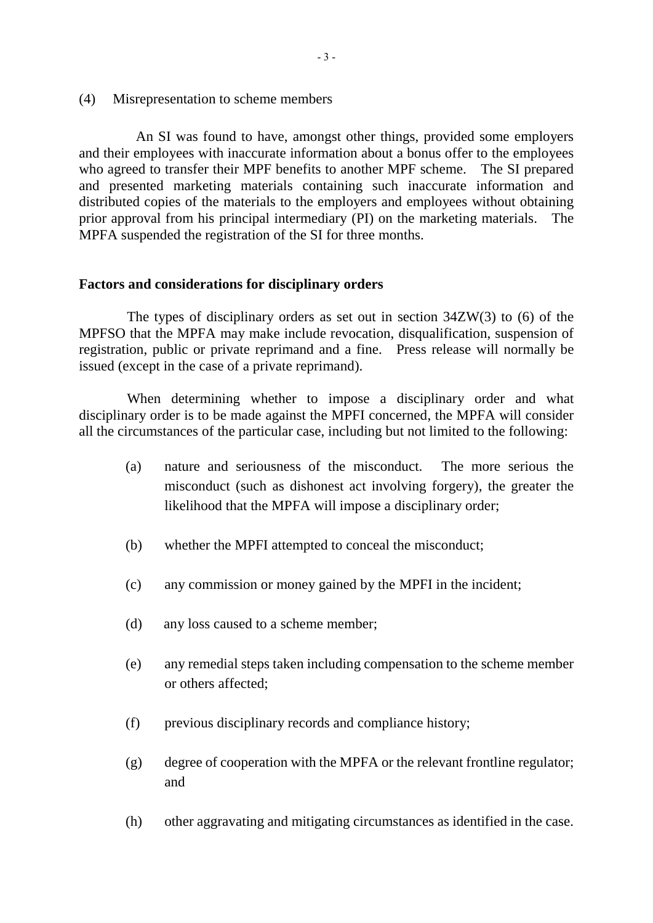(4) Misrepresentation to scheme members

 An SI was found to have, amongst other things, provided some employers and their employees with inaccurate information about a bonus offer to the employees who agreed to transfer their MPF benefits to another MPF scheme. The SI prepared and presented marketing materials containing such inaccurate information and distributed copies of the materials to the employers and employees without obtaining prior approval from his principal intermediary (PI) on the marketing materials. The MPFA suspended the registration of the SI for three months.

#### **Factors and considerations for disciplinary orders**

The types of disciplinary orders as set out in section 34ZW(3) to (6) of the MPFSO that the MPFA may make include revocation, disqualification, suspension of registration, public or private reprimand and a fine. Press release will normally be issued (except in the case of a private reprimand).

When determining whether to impose a disciplinary order and what disciplinary order is to be made against the MPFI concerned, the MPFA will consider all the circumstances of the particular case, including but not limited to the following:

- (a) nature and seriousness of the misconduct. The more serious the misconduct (such as dishonest act involving forgery), the greater the likelihood that the MPFA will impose a disciplinary order;
- (b) whether the MPFI attempted to conceal the misconduct;
- (c) any commission or money gained by the MPFI in the incident;
- (d) any loss caused to a scheme member;
- (e) any remedial steps taken including compensation to the scheme member or others affected;
- (f) previous disciplinary records and compliance history;
- (g) degree of cooperation with the MPFA or the relevant frontline regulator; and
- (h) other aggravating and mitigating circumstances as identified in the case.